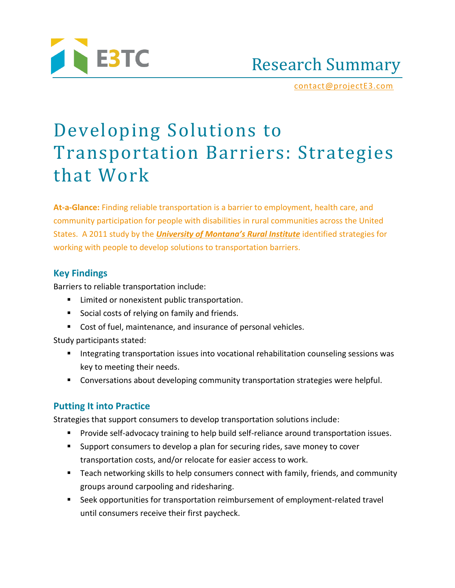

Research Summary

[contact@projectE3.com](mailto:contact@projectE3.com)

# Developing Solutions to Transportation Barriers: Strategies that Work

**At-a-Glance:** Finding reliable transportation is a barrier to employment, health care, and community participation for people with disabilities in rural communities across the United States. A 2011 study by the *[University of Montana's Rural Institute](http://ruralinstitute.umt.edu/)* identified strategies for working with people to develop solutions to transportation barriers.

### **Key Findings**

Barriers to reliable transportation include:

- Limited or nonexistent public transportation.
- Social costs of relying on family and friends.
- Cost of fuel, maintenance, and insurance of personal vehicles.

Study participants stated:

- Integrating transportation issues into vocational rehabilitation counseling sessions was key to meeting their needs.
- Conversations about developing community transportation strategies were helpful.

## **Putting It into Practice**

Strategies that support consumers to develop transportation solutions include:

- Provide self-advocacy training to help build self-reliance around transportation issues.
- Support consumers to develop a plan for securing rides, save money to cover transportation costs, and/or relocate for easier access to work.
- Teach networking skills to help consumers connect with family, friends, and community groups around carpooling and ridesharing.
- Seek opportunities for transportation reimbursement of employment-related travel until consumers receive their first paycheck.